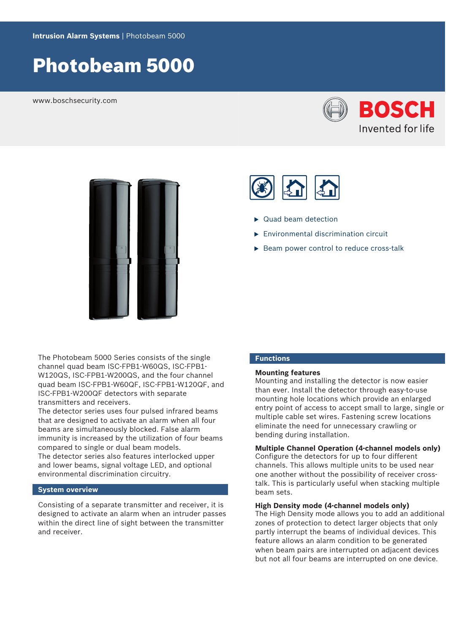# Photobeam 5000

www.boschsecurity.com





The Photobeam 5000 Series consists of the single channel quad beam ISC-FPB1-W60QS, ISC-FPB1- W120QS, ISC-FPB1-W200QS, and the four channel quad beam ISC-FPB1-W60QF, ISC-FPB1-W120QF, and ISC-FPB1-W200QF detectors with separate transmitters and receivers.

The detector series uses four pulsed infrared beams that are designed to activate an alarm when all four beams are simultaneously blocked. False alarm immunity is increased by the utilization of four beams compared to single or dual beam models. The detector series also features interlocked upper and lower beams, signal voltage LED, and optional environmental discrimination circuitry.

# **System overview**

Consisting of a separate transmitter and receiver, it is designed to activate an alarm when an intruder passes within the direct line of sight between the transmitter and receiver.

- $\blacktriangleright$  Quad beam detection
- $\blacktriangleright$  Environmental discrimination circuit
- $\triangleright$  Beam power control to reduce cross-talk

# **Functions**

# **Mounting features**

Mounting and installing the detector is now easier than ever. Install the detector through easy-to-use mounting hole locations which provide an enlarged entry point of access to accept small to large, single or multiple cable set wires. Fastening screw locations eliminate the need for unnecessary crawling or bending during installation.

# **Multiple Channel Operation (4-channel models only)** Configure the detectors for up to four different channels. This allows multiple units to be used near one another without the possibility of receiver crosstalk. This is particularly useful when stacking multiple beam sets.

#### **High Density mode (4-channel models only)**

The High Density mode allows you to add an additional zones of protection to detect larger objects that only partly interrupt the beams of individual devices. This feature allows an alarm condition to be generated when beam pairs are interrupted on adjacent devices but not all four beams are interrupted on one device.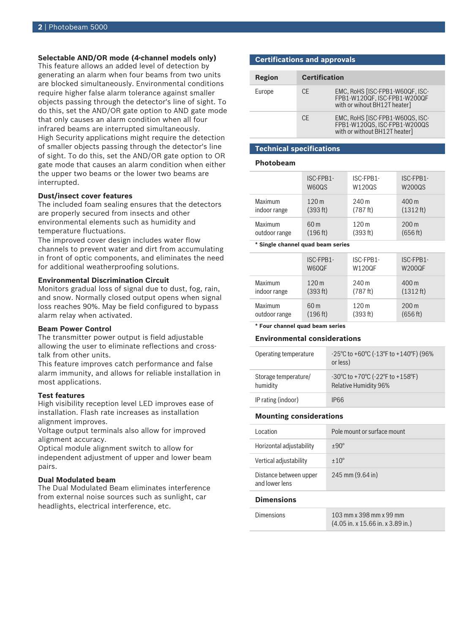# **Selectable AND/OR mode (4-channel models only)**

This feature allows an added level of detection by generating an alarm when four beams from two units are blocked simultaneously. Environmental conditions require higher false alarm tolerance against smaller objects passing through the detector's line of sight. To do this, set the AND/OR gate option to AND gate mode that only causes an alarm condition when all four infrared beams are interrupted simultaneously. High Security applications might require the detection of smaller objects passing through the detector's line of sight. To do this, set the AND/OR gate option to OR gate mode that causes an alarm condition when either the upper two beams or the lower two beams are interrupted.

# **Dust/insect cover features**

The included foam sealing ensures that the detectors are properly secured from insects and other environmental elements such as humidity and temperature fluctuations.

The improved cover design includes water flow channels to prevent water and dirt from accumulating in front of optic components, and eliminates the need for additional weatherproofing solutions.

### **Environmental Discrimination Circuit**

Monitors gradual loss of signal due to dust, fog, rain, and snow. Normally closed output opens when signal loss reaches 90%. May be field configured to bypass alarm relay when activated.

### **Beam Power Control**

The transmitter power output is field adjustable allowing the user to eliminate reflections and crosstalk from other units.

This feature improves catch performance and false alarm immunity, and allows for reliable installation in most applications.

# **Test features**

High visibility reception level LED improves ease of installation. Flash rate increases as installation alignment improves.

Voltage output terminals also allow for improved alignment accuracy.

Optical module alignment switch to allow for independent adjustment of upper and lower beam pairs.

# **Dual Modulated beam**

The Dual Modulated Beam eliminates interference from external noise sources such as sunlight, car headlights, electrical interference, etc.

# **Certifications and approvals**

| Region | <b>Certification</b> |                                                                                                  |  |
|--------|----------------------|--------------------------------------------------------------------------------------------------|--|
| Europe | CF.                  | EMC, RoHS [ISC-FPB1-W60QF, ISC-<br>FPB1-W120QF, ISC-FPB1-W200QF<br>with or wihout BH12T heater]  |  |
|        | CF.                  | EMC, RoHS [ISC-FPB1-W60QS, ISC-<br>FPB1-W120QS, ISC-FPB1-W200QS<br>with or without BH12T heater] |  |

# **Technical specifications**

# **Photobeam**

|               | ISC-FPB1-        | ISC-FPB1-        | ISC-FPB1-          |
|---------------|------------------|------------------|--------------------|
|               | W60QS            | <b>W120QS</b>    | <b>W200QS</b>      |
| Maximum       | 120 <sub>m</sub> | 240 m            | 400 m              |
| indoor range  | (393 ft)         | (787 ft)         | (1312 ft)          |
| Maximum       | 60 m             | 120 <sub>m</sub> | $200 \,\mathrm{m}$ |
| outdoor range | (196 ft)         | (393 ft)         | (656 ft)           |

#### **\* Single channel quad beam series**

|                | ISC-FPB1-        | ISC-FPB1-        | ISC-FPB1-       |
|----------------|------------------|------------------|-----------------|
|                | W60QF            | <b>W120QF</b>    | <b>W200QF</b>   |
| <b>Maximum</b> | 120 <sub>m</sub> | 240 m            | 400 m           |
| indoor range   | (393 ft)         | (787 ft)         | (1312 ft)       |
| Maximum        | 60 m             | 120 <sub>m</sub> | $200 \text{ m}$ |
| outdoor range  | (196 ft)         | (393 ft)         | (656 ft)        |

**\* Four channel quad beam series**

#### **Environmental considerations**

| Operating temperature            | -25°C to +60°C (-13°F to +140°F) (96%<br>or less)                                                         |
|----------------------------------|-----------------------------------------------------------------------------------------------------------|
| Storage temperature/<br>humidity | $-30^{\circ}$ C to $+70^{\circ}$ C ( $-22^{\circ}$ F to $+158^{\circ}$ F)<br><b>Relative Humidity 96%</b> |
| IP rating (indoor)               | <b>IPRR</b>                                                                                               |

# **Mounting considerations**

| Location                                 | Pole mount or surface mount |
|------------------------------------------|-----------------------------|
| Horizontal adjustability                 | $+90^\circ$                 |
| Vertical adjustability                   | $+10^{\circ}$               |
| Distance between upper<br>and lower lens | 245 mm (9.64 in)            |

# **Dimensions**

| <b>Dimensions</b> | 103 mm x 398 mm x 99 mm                                       |  |
|-------------------|---------------------------------------------------------------|--|
|                   | $(4.05 \text{ in. x } 15.66 \text{ in. x } 3.89 \text{ in.})$ |  |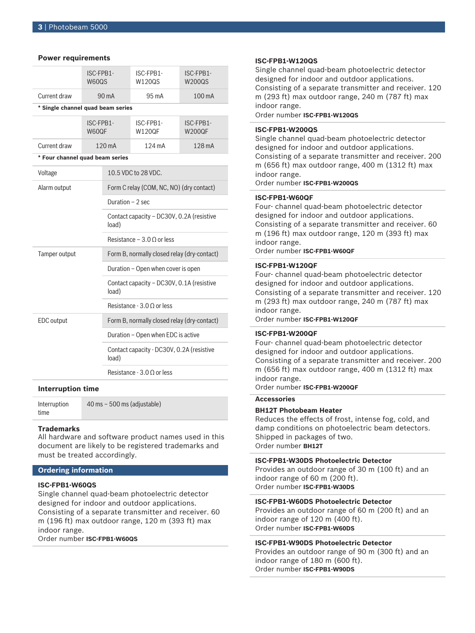# **Power requirements**

|                                   | ISC-FPB1-<br><b>W600S</b> |                                                    | ISC-FPB1-<br>W120QS        | ISC-FPB1-<br>W200QS        |  |
|-----------------------------------|---------------------------|----------------------------------------------------|----------------------------|----------------------------|--|
| Current draw                      | 90 mA                     |                                                    | 95 mA                      | 100 mA                     |  |
| * Single channel quad beam series |                           |                                                    |                            |                            |  |
|                                   | ISC-FPR1-<br>W60QF        |                                                    | ISC-FPR1-<br><b>W120QF</b> | ISC-FPR1-<br><b>W200QF</b> |  |
| Current draw                      |                           | $120 \text{ mA}$                                   | $124 \text{ mA}$           | $128 \text{ mA}$           |  |
| * Four channel quad beam series   |                           |                                                    |                            |                            |  |
| Voltage                           |                           |                                                    | 10.5 VDC to 28 VDC.        |                            |  |
| Alarm output                      |                           | Form C relay (COM, NC, NO) (dry contact)           |                            |                            |  |
|                                   |                           | Duration $-2$ sec                                  |                            |                            |  |
|                                   |                           | Contact capacity - DC30V, 0.2A (resistive<br>load) |                            |                            |  |
|                                   |                           | Resistance – 3.0 $\Omega$ or less                  |                            |                            |  |
| Tamper output                     |                           | Form B, normally closed relay (dry-contact)        |                            |                            |  |
|                                   |                           | Duration – Open when cover is open                 |                            |                            |  |
|                                   |                           | Contact capacity - DC30V, 0.1A (resistive<br>load) |                            |                            |  |
|                                   |                           | Resistance - 3.0 $\Omega$ or less                  |                            |                            |  |
| <b>EDC</b> output                 |                           | Form B, normally closed relay (dry-contact)        |                            |                            |  |
|                                   |                           | Duration - Open when EDC is active                 |                            |                            |  |
|                                   |                           | Contact capacity - DC30V, 0.2A (resistive<br>load) |                            |                            |  |
|                                   |                           | Resistance - 3.0 O or less                         |                            |                            |  |
|                                   |                           |                                                    |                            |                            |  |

#### **Interruption time**

Interruption time 40 ms – 500 ms (adjustable)

# **Trademarks**

All hardware and software product names used in this document are likely to be registered trademarks and must be treated accordingly.

# **Ordering information**

# **ISC-FPB1-W60QS**

Single channel quad-beam photoelectric detector designed for indoor and outdoor applications. Consisting of a separate transmitter and receiver. 60 m (196 ft) max outdoor range, 120 m (393 ft) max indoor range.

Order number **ISC-FPB1-W60QS**

#### **ISC-FPB1-W120QS**

Single channel quad-beam photoelectric detector designed for indoor and outdoor applications. Consisting of a separate transmitter and receiver. 120 m (293 ft) max outdoor range, 240 m (787 ft) max indoor range.

# Order number **ISC-FPB1-W120QS**

# **ISC-FPB1-W200QS**

Single channel quad-beam photoelectric detector designed for indoor and outdoor applications. Consisting of a separate transmitter and receiver. 200 m (656 ft) max outdoor range, 400 m (1312 ft) max indoor range.

Order number **ISC-FPB1-W200QS**

#### **ISC-FPB1-W60QF**

Four- channel quad-beam photoelectric detector designed for indoor and outdoor applications. Consisting of a separate transmitter and receiver. 60 m (196 ft) max outdoor range, 120 m (393 ft) max indoor range. Order number **ISC-FPB1-W60QF**

# **ISC-FPB1-W120QF**

Four- channel quad-beam photoelectric detector designed for indoor and outdoor applications. Consisting of a separate transmitter and receiver. 120 m (293 ft) max outdoor range, 240 m (787 ft) max indoor range.

Order number **ISC-FPB1-W120QF**

### **ISC-FPB1-W200QF**

Four- channel quad-beam photoelectric detector designed for indoor and outdoor applications. Consisting of a separate transmitter and receiver. 200 m (656 ft) max outdoor range, 400 m (1312 ft) max indoor range.

#### Order number **ISC-FPB1-W200QF**

**Accessories**

# **BH12T Photobeam Heater**

Reduces the effects of frost, intense fog, cold, and damp conditions on photoelectric beam detectors. Shipped in packages of two. Order number **BH12T**

### **ISC-FPB1-W30DS Photoelectric Detector**

Provides an outdoor range of 30 m (100 ft) and an indoor range of 60 m (200 ft). Order number **ISC-FPB1-W30DS**

### **ISC-FPB1-W60DS Photoelectric Detector**

Provides an outdoor range of 60 m (200 ft) and an indoor range of 120 m (400 ft). Order number **ISC-FPB1-W60DS**

# **ISC-FPB1-W90DS Photoelectric Detector**

Provides an outdoor range of 90 m (300 ft) and an indoor range of 180 m (600 ft). Order number **ISC-FPB1-W90DS**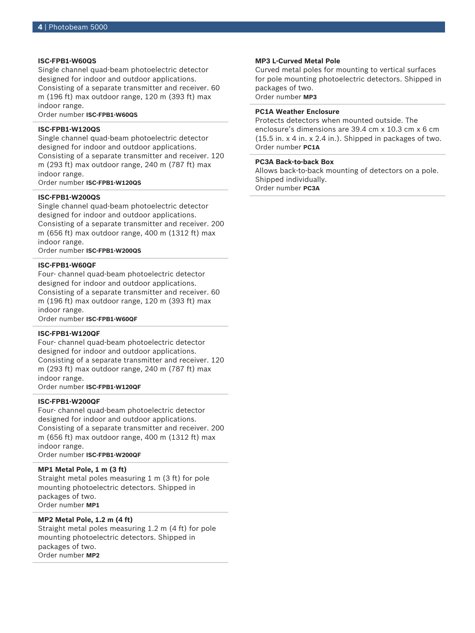# **ISC-FPB1-W60QS**

Single channel quad-beam photoelectric detector designed for indoor and outdoor applications. Consisting of a separate transmitter and receiver. 60 m (196 ft) max outdoor range, 120 m (393 ft) max indoor range.

Order number **ISC-FPB1-W60QS**

# **ISC-FPB1-W120QS**

Single channel quad-beam photoelectric detector designed for indoor and outdoor applications. Consisting of a separate transmitter and receiver. 120 m (293 ft) max outdoor range, 240 m (787 ft) max indoor range.

Order number **ISC-FPB1-W120QS**

# **ISC-FPB1-W200QS**

Single channel quad-beam photoelectric detector designed for indoor and outdoor applications. Consisting of a separate transmitter and receiver. 200 m (656 ft) max outdoor range, 400 m (1312 ft) max indoor range.

Order number **ISC-FPB1-W200QS**

### **ISC-FPB1-W60QF**

Four- channel quad-beam photoelectric detector designed for indoor and outdoor applications. Consisting of a separate transmitter and receiver. 60 m (196 ft) max outdoor range, 120 m (393 ft) max indoor range.

Order number **ISC-FPB1-W60QF**

# **ISC-FPB1-W120QF**

Four- channel quad-beam photoelectric detector designed for indoor and outdoor applications. Consisting of a separate transmitter and receiver. 120 m (293 ft) max outdoor range, 240 m (787 ft) max indoor range.

Order number **ISC-FPB1-W120QF**

# **ISC-FPB1-W200QF**

Four- channel quad-beam photoelectric detector designed for indoor and outdoor applications. Consisting of a separate transmitter and receiver. 200 m (656 ft) max outdoor range, 400 m (1312 ft) max indoor range.

Order number **ISC-FPB1-W200QF**

# **MP1 Metal Pole, 1 m (3 ft)**

Straight metal poles measuring 1 m (3 ft) for pole mounting photoelectric detectors. Shipped in packages of two. Order number **MP1**

# **MP2 Metal Pole, 1.2 m (4 ft)**

Straight metal poles measuring 1.2 m (4 ft) for pole mounting photoelectric detectors. Shipped in packages of two. Order number **MP2**

#### **MP3 L‑Curved Metal Pole**

Curved metal poles for mounting to vertical surfaces for pole mounting photoelectric detectors. Shipped in packages of two. Order number **MP3**

# **PC1A Weather Enclosure**

Protects detectors when mounted outside. The enclosure's dimensions are 39.4 cm x 10.3 cm x 6 cm (15.5 in. x 4 in. x 2.4 in.). Shipped in packages of two. Order number **PC1A**

#### **PC3A Back‑to‑back Box**

Allows back-to-back mounting of detectors on a pole. Shipped individually. Order number **PC3A**